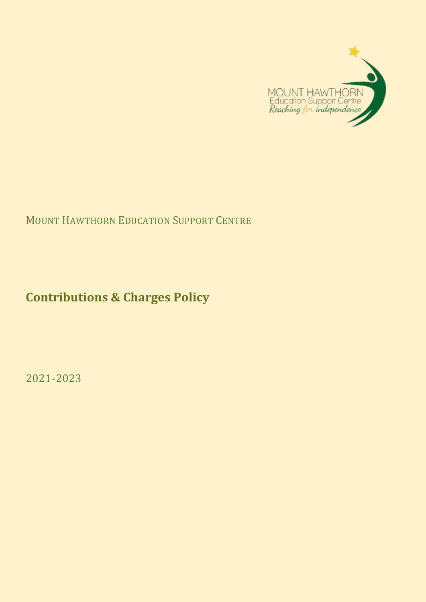

# MOUNT HAWTHORN EDUCATION SUPPORT CENTRE

**Contributions & Charges Policy**

2021-2023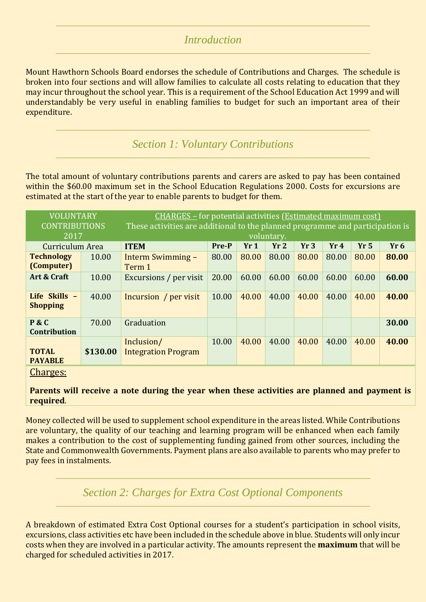#### *Introduction*

Mount Hawthorn Schools Board endorses the schedule of Contributions and Charges. The schedule is broken into four sections and will allow families to calculate all costs relating to education that they may incur throughout the school year. This is a requirement of the School Education Act 1999 and will understandably be very useful in enabling families to budget for such an important area of their expenditure.

*Section 1: Voluntary Contributions*

The total amount of voluntary contributions parents and carers are asked to pay has been contained within the \$60.00 maximum set in the School Education Regulations 2000. Costs for excursions are estimated at the start of the year to enable parents to budget for them.

| <b>VOLUNTARY</b><br><b>CONTRIBUTIONS</b> |          | <b>CHARGES</b> - for potential activities ( <b>Estimated maximum cost</b> )<br>These activities are additional to the planned programme and participation is |       |       |       |       |       |                 |                 |  |
|------------------------------------------|----------|--------------------------------------------------------------------------------------------------------------------------------------------------------------|-------|-------|-------|-------|-------|-----------------|-----------------|--|
| 2017                                     |          | voluntary.                                                                                                                                                   |       |       |       |       |       |                 |                 |  |
| Curriculum Area                          |          | <b>ITEM</b>                                                                                                                                                  | Pre-P | Yr1   | Yr2   | Yr3   | Yr4   | Yr <sub>5</sub> | Yr <sub>6</sub> |  |
| <b>Technology</b><br>(Computer)          | 10.00    | Interm Swimming –<br>Term 1                                                                                                                                  | 80.00 | 80.00 | 80.00 | 80.00 | 80.00 | 80.00           | 80.00           |  |
| Art & Craft                              | 10.00    | Excursions / per visit                                                                                                                                       | 20.00 | 60.00 | 60.00 | 60.00 | 60.00 | 60.00           | 60.00           |  |
| Life Skills -<br><b>Shopping</b>         | 40.00    | Incursion / per visit                                                                                                                                        | 10.00 | 40.00 | 40.00 | 40.00 | 40.00 | 40.00           | 40.00           |  |
| P & C<br><b>Contribution</b>             | 70.00    | Graduation                                                                                                                                                   |       |       |       |       |       |                 | 30.00           |  |
| TOTAL<br><b>PAYABLE</b>                  | \$130.00 | Inclusion/<br><b>Integration Program</b>                                                                                                                     | 10.00 | 40.00 | 40.00 | 40.00 | 40.00 | 40.00           | 40.00           |  |

Charges:

**Parents will receive a note during the year when these activities are planned and payment is required**.

Money collected will be used to supplement school expenditure in the areas listed. While Contributions are voluntary, the quality of our teaching and learning program will be enhanced when each family makes a contribution to the cost of supplementing funding gained from other sources, including the State and Commonwealth Governments. Payment plans are also available to parents who may prefer to pay fees in instalments.

### *Section 2: Charges for Extra Cost Optional Components*

A breakdown of estimated Extra Cost Optional courses for a student's participation in school visits, excursions, class activities etc have been included in the schedule above in blue. Students will only incur costs when they are involved in a particular activity. The amounts represent the **maximum** that will be charged for scheduled activities in 2017.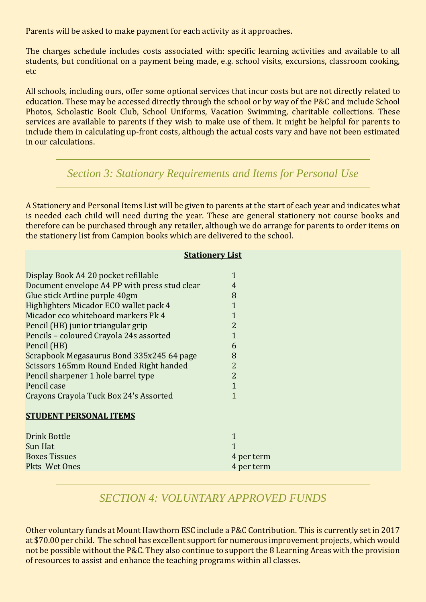Parents will be asked to make payment for each activity as it approaches.

The charges schedule includes costs associated with: specific learning activities and available to all students, but conditional on a payment being made, e.g. school visits, excursions, classroom cooking, etc

All schools, including ours, offer some optional services that incur costs but are not directly related to education. These may be accessed directly through the school or by way of the P&C and include School Photos, Scholastic Book Club, School Uniforms, Vacation Swimming, charitable collections. These services are available to parents if they wish to make use of them. It might be helpful for parents to include them in calculating up-front costs, although the actual costs vary and have not been estimated in our calculations.

#### *Section 3: Stationary Requirements and Items for Personal Use*

A Stationery and Personal Items List will be given to parents at the start of each year and indicates what is needed each child will need during the year. These are general stationery not course books and therefore can be purchased through any retailer, although we do arrange for parents to order items on the stationery list from Campion books which are delivered to the school.

#### **Stationery List**

| Display Book A4 20 pocket refillable          | 1              |
|-----------------------------------------------|----------------|
| Document envelope A4 PP with press stud clear | 4              |
| Glue stick Artline purple 40gm                | 8              |
| Highlighters Micador ECO wallet pack 4        | $\overline{1}$ |
| Micador eco whiteboard markers Pk 4           | $\mathbf{1}$   |
| Pencil (HB) junior triangular grip            | $\overline{2}$ |
| Pencils - coloured Crayola 24s assorted       | $\overline{1}$ |
| Pencil (HB)                                   | 6              |
| Scrapbook Megasaurus Bond 335x245 64 page     | 8              |
| Scissors 165mm Round Ended Right handed       | $\overline{2}$ |
| Pencil sharpener 1 hole barrel type           | $\overline{2}$ |
| Pencil case                                   | 1              |
| Crayons Crayola Tuck Box 24's Assorted        | 1              |
|                                               |                |
| <b>STUDENT PERSONAL ITEMS</b>                 |                |
|                                               |                |
| Drink Bottle                                  | 1              |
| Sun Hat                                       |                |
| <b>Boxes Tissues</b>                          | 4 per term     |

Pkts Wet Ones 4 per term

### *SECTION 4: VOLUNTARY APPROVED FUNDS*

Other voluntary funds at Mount Hawthorn ESC include a P&C Contribution. This is currently set in 2017 at \$70.00 per child. The school has excellent support for numerous improvement projects, which would not be possible without the P&C. They also continue to support the 8 Learning Areas with the provision of resources to assist and enhance the teaching programs within all classes.